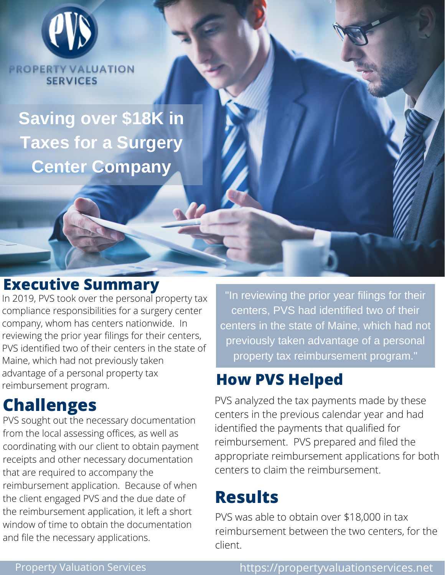

**Saving over \$18K in Taxes for a Surgery Center Company**

#### **Executive Summary**

In 2019, PVS took over the personal property tax compliance responsibilities for a surgery center company, whom has centers nationwide. In reviewing the prior year filings for their centers, PVS identified two of their centers in the state of Maine, which had not previously taken advantage of a personal property tax reimbursement program.

## **Challenges**

PVS sought out the necessary documentation from the local assessing offices, as well as coordinating with our client to obtain payment receipts and other necessary documentation that are required to accompany the reimbursement application. Because of when the client engaged PVS and the due date of the reimbursement application, it left a short window of time to obtain the documentation and file the necessary applications.

"In reviewing the prior year filings for their centers, PVS had identified two of their centers in the state of Maine, which had not previously taken advantage of a personal property tax reimbursement program."

#### **How PVS Helped**

PVS analyzed the tax payments made by these centers in the previous calendar year and had identified the payments that qualified for reimbursement. PVS prepared and filed the appropriate reimbursement applications for both centers to claim the reimbursement.

## **Results**

PVS was able to obtain over \$18,000 in tax reimbursement between the two centers, for the client.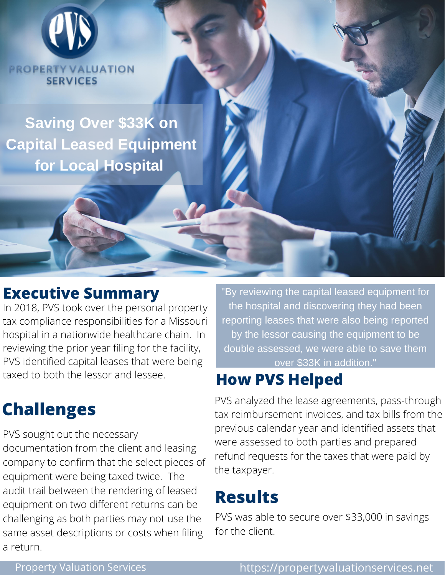

**Saving Over \$33K on Capital Leased Equipment for Local Hospital**

#### **Executive Summary**

In 2018, PVS took over the personal property tax compliance responsibilities for a Missouri hospital in a nationwide healthcare chain. In reviewing the prior year filing for the facility, PVS identified capital leases that were being taxed to both the lessor and lessee.

## **Challenges**

PVS sought out the necessary documentation from the client and leasing company to confirm that the select pieces of equipment were being taxed twice. The audit trail between the rendering of leased equipment on two different returns can be challenging as both parties may not use the same asset descriptions or costs when filing a return.

"By reviewing the capital leased equipment for the hospital and discovering they had been reporting leases that were also being reported by the lessor causing the equipment to be double assessed, we were able to save them over \$33K in addition."

#### **How PVS Helped**

PVS analyzed the lease agreements, pass-through tax reimbursement invoices, and tax bills from the previous calendar year and identified assets that were assessed to both parties and prepared refund requests for the taxes that were paid by the taxpayer.

## **Results**

PVS was able to secure over \$33,000 in savings for the client.